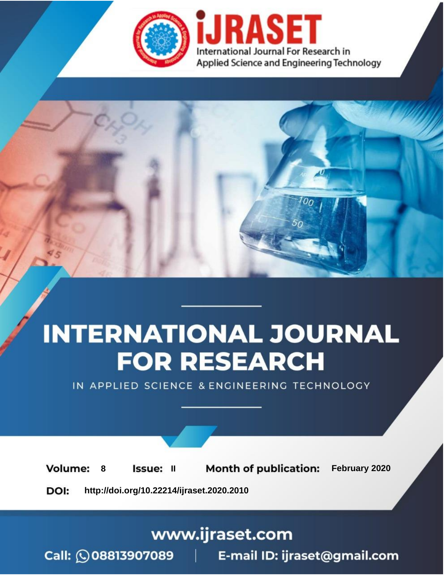



IN APPLIED SCIENCE & ENGINEERING TECHNOLOGY

**8 ISSUE: II Month of publication:** February 2020 **Volume: http://doi.org/10.22214/ijraset.2020.2010**DOI:

www.ijraset.com

Call: **Q08813907089** E-mail ID: ijraset@gmail.com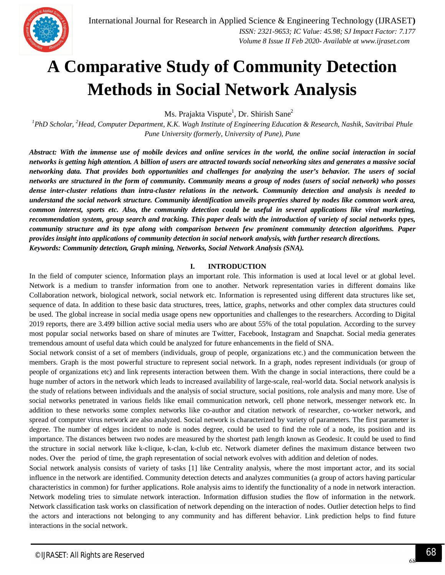# **A Comparative Study of Community Detection Methods in Social Network Analysis**

Ms. Prajakta Vispute $^{\rm l}$ , Dr. Shirish Sane $^{\rm 2}$ 

*<sup>1</sup>PhD Scholar, <sup>2</sup>Head, Computer Department, K.K. Wagh Institute of Engineering Education & Research, Nashik, Savitribai Phule Pune University (formerly, University of Pune), Pune*

*Abstract: With the immense use of mobile devices and online services in the world, the online social interaction in social networks is getting high attention. A billion of users are attracted towards social networking sites and generates a massive social networking data. That provides both opportunities and challenges for analyzing the user's behavior. The users of social networks are structured in the form of community. Community means a group of nodes (users of social network) who posses dense inter-cluster relations than intra-cluster relations in the network. Community detection and analysis is needed to understand the social network structure. Community identification unveils properties shared by nodes like common work area, common interest, sports etc. Also, the community detection could be useful in several applications like viral marketing, recommendation system, group search and tracking. This paper deals with the introduction of variety of social networks types, community structure and its type along with comparison between few prominent community detection algorithms. Paper provides insight into applications of community detection in social network analysis, with further research directions. Keywords: Community detection, Graph mining, Networks, Social Network Analysis (SNA).*

#### **I. INTRODUCTION**

In the field of computer science, Information plays an important role. This information is used at local level or at global level. Network is a medium to transfer information from one to another. Network representation varies in different domains like Collaboration network, biological network, social network etc. Information is represented using different data structures like set, sequence of data. In addition to these basic data structures, trees, lattice, graphs, networks and other complex data structures could be used. The global increase in social media usage opens new opportunities and challenges to the researchers. According to Digital 2019 reports, there are 3.499 billion active social media users who are about 55% of the total population. According to the survey most popular social networks based on share of minutes are Twitter, Facebook, Instagram and Snapchat. Social media generates tremendous amount of useful data which could be analyzed for future enhancements in the field of SNA.

Social network consist of a set of members (individuals, group of people, organizations etc.) and the communication between the members. Graph is the most powerful structure to represent social network. In a graph, nodes represent individuals (or group of people of organizations etc) and link represents interaction between them. With the change in social interactions, there could be a huge number of actors in the network which leads to increased availability of large-scale, real-world data. Social network analysis is the study of relations between individuals and the analysis of social structure, social positions, role analysis and many more. Use of social networks penetrated in various fields like email communication network, cell phone network, messenger network etc. In addition to these networks some complex networks like co-author and citation network of researcher, co-worker network, and spread of computer virus network are also analyzed. Social network is characterized by variety of parameters. The first parameter is degree. The number of edges incident to node is nodes degree, could be used to find the role of a node, its position and its importance. The distances between two nodes are measured by the shortest path length known as Geodesic. It could be used to find the structure in social network like k-clique, k-clan, k-club etc. Network diameter defines the maximum distance between two nodes. Over the period of time, the graph representation of social network evolves with addition and deletion of nodes.

Social network analysis consists of variety of tasks [1] like Centrality analysis, where the most important actor, and its social influence in the network are identified. Community detection detects and analyzes communities (a group of actors having particular characteristics in common) for further applications. Role analysis aims to identify the functionality of a node in network interaction. Network modeling tries to simulate network interaction. Information diffusion studies the flow of information in the network. Network classification task works on classification of network depending on the interaction of nodes. Outlier detection helps to find the actors and interactions not belonging to any community and has different behavior. Link prediction helps to find future interactions in the social network.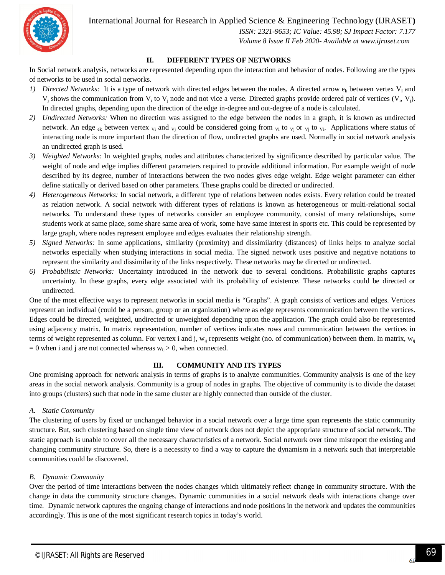

 *ISSN: 2321-9653; IC Value: 45.98; SJ Impact Factor: 7.177 Volume 8 Issue II Feb 2020- Available at www.ijraset.com*

#### **II. DIFFERENT TYPES OF NETWORKS**

In Social network analysis, networks are represented depending upon the interaction and behavior of nodes. Following are the types of networks to be used in social networks.

- *1) Directed Networks:* It is a type of network with directed edges between the nodes. A directed arrow  $e_k$  between vertex V<sub>i</sub> and  $V_j$  shows the communication from  $V_i$  to  $V_j$  node and not vice a verse. Directed graphs provide ordered pair of vertices  $(V_i, V_j)$ . In directed graphs, depending upon the direction of the edge in-degree and out-degree of a node is calculated.
- *2) Undirected Networks:* When no direction was assigned to the edge between the nodes in a graph, it is known as undirected network. An edge <sub>ek</sub> between vertex  $y_i$  and  $y_j$  could be considered going from  $y_i$  to  $y_j$  or  $y_j$  to  $y_j$ . Applications where status of interacting node is more important than the direction of flow, undirected graphs are used. Normally in social network analysis an undirected graph is used.
- *3) Weighted Networks:* In weighted graphs, nodes and attributes characterized by significance described by particular value. The weight of node and edge implies different parameters required to provide additional information. For example weight of node described by its degree, number of interactions between the two nodes gives edge weight. Edge weight parameter can either define statically or derived based on other parameters. These graphs could be directed or undirected.
- *4) Heterogeneous Networks:* In social network, a different type of relations between nodes exists. Every relation could be treated as relation network. A social network with different types of relations is known as heterogeneous or multi-relational social networks. To understand these types of networks consider an employee community, consist of many relationships, some students work at same place, some share same area of work, some have same interest in sports etc. This could be represented by large graph, where nodes represent employee and edges evaluates their relationship strength.
- *5) Signed Networks:* In some applications, similarity (proximity) and dissimilarity (distances) of links helps to analyze social networks especially when studying interactions in social media. The signed network uses positive and negative notations to represent the similarity and dissimilarity of the links respectively. These networks may be directed or undirected.
- *6) Probabilistic Networks:* Uncertainty introduced in the network due to several conditions. Probabilistic graphs captures uncertainty. In these graphs, every edge associated with its probability of existence. These networks could be directed or undirected.

One of the most effective ways to represent networks in social media is "Graphs". A graph consists of vertices and edges. Vertices represent an individual (could be a person, group or an organization) where as edge represents communication between the vertices. Edges could be directed, weighted, undirected or unweighted depending upon the application. The graph could also be represented using adjacency matrix. In matrix representation, number of vertices indicates rows and communication between the vertices in terms of weight represented as column. For vertex i and j,  $w_{ii}$  represents weight (no. of communication) between them. In matrix,  $w_{ii}$  $= 0$  when i and j are not connected whereas  $w_{ii} > 0$ , when connected.

#### **III. COMMUNITY AND ITS TYPES**

One promising approach for network analysis in terms of graphs is to analyze communities. Community analysis is one of the key areas in the social network analysis. Community is a group of nodes in graphs. The objective of community is to divide the dataset into groups (clusters) such that node in the same cluster are highly connected than outside of the cluster.

#### *A. Static Community*

The clustering of users by fixed or unchanged behavior in a social network over a large time span represents the static community structure. But, such clustering based on single time view of network does not depict the appropriate structure of social network. The static approach is unable to cover all the necessary characteristics of a network. Social network over time misreport the existing and changing community structure. So, there is a necessity to find a way to capture the dynamism in a network such that interpretable communities could be discovered.

#### *B. Dynamic Community*

Over the period of time interactions between the nodes changes which ultimately reflect change in community structure. With the change in data the community structure changes. Dynamic communities in a social network deals with interactions change over time. Dynamic network captures the ongoing change of interactions and node positions in the network and updates the communities accordingly. This is one of the most significant research topics in today's world.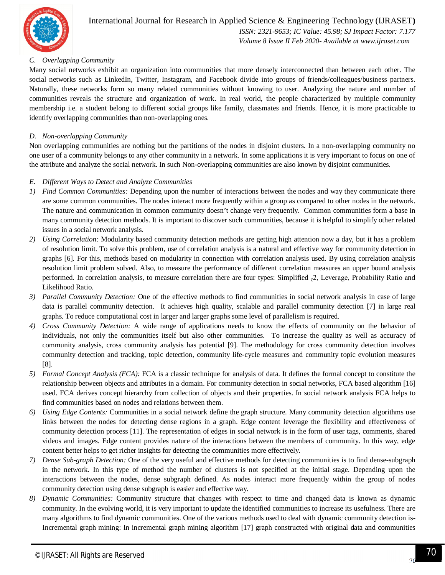

## International Journal for Research in Applied Science & Engineering Technology (IJRASET**)**  *ISSN: 2321-9653; IC Value: 45.98; SJ Impact Factor: 7.177 Volume 8 Issue II Feb 2020- Available at www.ijraset.com*

#### *C. Overlapping Community*

Many social networks exhibit an organization into communities that more densely interconnected than between each other. The social networks such as LinkedIn, Twitter, Instagram, and Facebook divide into groups of friends/colleagues/business partners. Naturally, these networks form so many related communities without knowing to user. Analyzing the nature and number of communities reveals the structure and organization of work. In real world, the people characterized by multiple community membership i.e. a student belong to different social groups like family, classmates and friends. Hence, it is more practicable to identify overlapping communities than non-overlapping ones.

#### *D. Non-overlapping Community*

Non overlapping communities are nothing but the partitions of the nodes in disjoint clusters. In a non-overlapping community no one user of a community belongs to any other community in a network. In some applications it is very important to focus on one of the attribute and analyze the social network. In such Non-overlapping communities are also known by disjoint communities.

#### *E. Different Ways to Detect and Analyze Communities*

- *1) Find Common Communities:* Depending upon the number of interactions between the nodes and way they communicate there are some common communities. The nodes interact more frequently within a group as compared to other nodes in the network. The nature and communication in common community doesn't change very frequently. Common communities form a base in many community detection methods. It is important to discover such communities, because it is helpful to simplify other related issues in a social network analysis.
- *2) Using Correlation:* Modularity based community detection methods are getting high attention now a day, but it has a problem of resolution limit. To solve this problem, use of correlation analysis is a natural and effective way for community detection in graphs [6]. For this, methods based on modularity in connection with correlation analysis used. By using correlation analysis resolution limit problem solved. Also, to measure the performance of different correlation measures an upper bound analysis performed. In correlation analysis, to measure correlation there are four types: Simplified  $_2$ 2, Leverage, Probability Ratio and Likelihood Ratio.
- *3) Parallel Community Detection:* One of the effective methods to find communities in social network analysis in case of large data is parallel community detection. It achieves high quality, scalable and parallel community detection [7] in large real graphs. To reduce computational cost in larger and larger graphs some level of parallelism is required.
- *4) Cross Community Detection:* A wide range of applications needs to know the effects of community on the behavior of individuals, not only the communities itself but also other communities. To increase the quality as well as accuracy of community analysis, cross community analysis has potential [9]. The methodology for cross community detection involves community detection and tracking, topic detection, community life-cycle measures and community topic evolution measures [8].
- *5) Formal Concept Analysis (FCA):* FCA is a classic technique for analysis of data. It defines the formal concept to constitute the relationship between objects and attributes in a domain. For community detection in social networks, FCA based algorithm [16] used. FCA derives concept hierarchy from collection of objects and their properties. In social network analysis FCA helps to find communities based on nodes and relations between them.
- *6) Using Edge Contents:* Communities in a social network define the graph structure. Many community detection algorithms use links between the nodes for detecting dense regions in a graph. Edge content leverage the flexibility and effectiveness of community detection process [11]. The representation of edges in social network is in the form of user tags, comments, shared videos and images. Edge content provides nature of the interactions between the members of community. In this way, edge content better helps to get richer insights for detecting the communities more effectively.
- *7) Dense Sub-graph Detection:* One of the very useful and effective methods for detecting communities is to find dense-subgraph in the network. In this type of method the number of clusters is not specified at the initial stage. Depending upon the interactions between the nodes, dense subgraph defined. As nodes interact more frequently within the group of nodes community detection using dense subgraph is easier and effective way.
- *8) Dynamic Communities:* Community structure that changes with respect to time and changed data is known as dynamic community. In the evolving world, it is very important to update the identified communities to increase its usefulness. There are many algorithms to find dynamic communities. One of the various methods used to deal with dynamic community detection is-Incremental graph mining: In incremental graph mining algorithm [17] graph constructed with original data and communities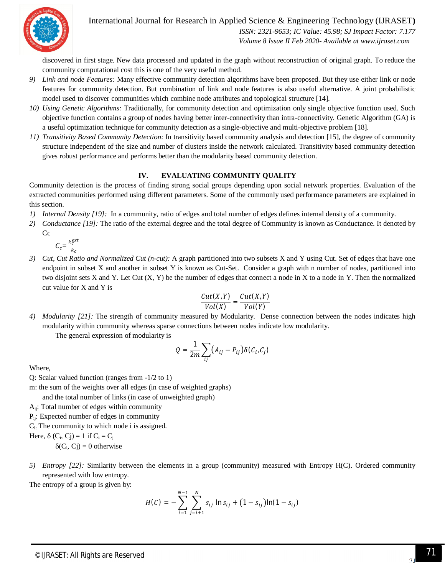

 *ISSN: 2321-9653; IC Value: 45.98; SJ Impact Factor: 7.177 Volume 8 Issue II Feb 2020- Available at www.ijraset.com*

discovered in first stage. New data processed and updated in the graph without reconstruction of original graph. To reduce the community computational cost this is one of the very useful method.

- *9) Link and node Features:* Many effective community detection algorithms have been proposed. But they use either link or node features for community detection. But combination of link and node features is also useful alternative. A joint probabilistic model used to discover communities which combine node attributes and topological structure [14].
- *10) Using Genetic Algorithms:* Traditionally, for community detection and optimization only single objective function used. Such objective function contains a group of nodes having better inter-connectivity than intra-connectivity. Genetic Algorithm (GA) is a useful optimization technique for community detection as a single-objective and multi-objective problem [18].
- *11) Transitivity Based Community Detection:* In transitivity based community analysis and detection [15], the degree of community structure independent of the size and number of clusters inside the network calculated. Transitivity based community detection gives robust performance and performs better than the modularity based community detection.

#### **IV. EVALUATING COMMUNITY QUALITY**

Community detection is the process of finding strong social groups depending upon social network properties. Evaluation of the extracted communities performed using different parameters. Some of the commonly used performance parameters are explained in this section.

- *1) Internal Density [19]:* In a community, ratio of edges and total number of edges defines internal density of a community.
- *2) Conductance [19]:* The ratio of the external degree and the total degree of Community is known as Conductance. It denoted by Cc

$$
C_c = \frac{k_c^{ext}}{k_c}
$$

*3) Cut, Cut Ratio and Normalized Cut (n-cut):* A graph partitioned into two subsets X and Y using Cut. Set of edges that have one endpoint in subset X and another in subset Y is known as Cut-Set. Consider a graph with n number of nodes, partitioned into two disjoint sets X and Y. Let Cut (X, Y) be the number of edges that connect a node in X to a node in Y. Then the normalized cut value for X and Y is

$$
\frac{Cut(X,Y)}{Vol(X)} = \frac{Cut(X,Y)}{Vol(Y)}
$$

*4) Modularity [21]:* The strength of community measured by Modularity. Dense connection between the nodes indicates high modularity within community whereas sparse connections between nodes indicate low modularity.

The general expression of modularity is

$$
Q = \frac{1}{2m} \sum_{ij} (A_{ij} - P_{ij}) \delta(C_i, C_j)
$$

Where,

- Q: Scalar valued function (ranges from -1/2 to 1)
- m: the sum of the weights over all edges (in case of weighted graphs)

and the total number of links (in case of unweighted graph)

Aij: Total number of edges within community

P<sub>ii</sub>: Expected number of edges in community

 $C_i$ : The community to which node i is assigned.

Here,  $\delta$  (C<sub>i</sub>, Cj) = 1 if C<sub>i</sub> = C<sub>j</sub>

 $\delta(C_i, C_j) = 0$  otherwise

*5) Entropy [22]:* Similarity between the elements in a group (community) measured with Entropy H(C). Ordered community represented with low entropy.

The entropy of a group is given by:

$$
H(C) = -\sum_{i=1}^{N-1} \sum_{j=i+1}^{N} s_{ij} \ln s_{ij} + (1 - s_{ij}) \ln(1 - s_{ij})
$$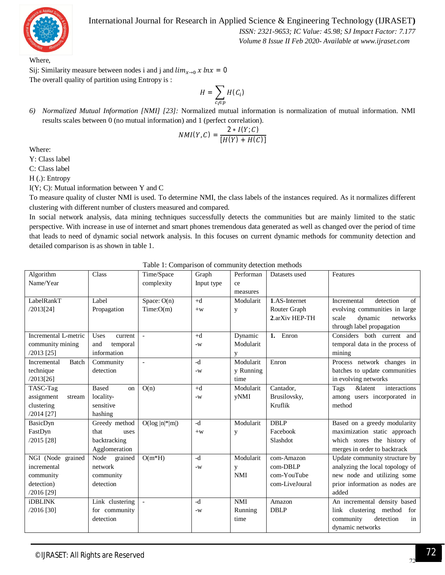

 *ISSN: 2321-9653; IC Value: 45.98; SJ Impact Factor: 7.177 Volume 8 Issue II Feb 2020- Available at www.ijraset.com*

Where,

Sij: Similarity measure between nodes i and j and  $\lim_{x\to 0} x \ln x = 0$ The overall quality of partition using Entropy is :

$$
H = \sum_{c_i \in p} H(C_i)
$$

*6) Normalized Mutual Information [NMI] [23]:* Normalized mutual information is normalization of mutual information. NMI results scales between 0 (no mutual information) and 1 (perfect correlation).

$$
NMI(Y, C) = \frac{2 * I(Y; C)}{[H(Y) + H(C)]}
$$

Where:

Y: Class label

C: Class label

H (.): Entropy

I(Y; C): Mutual information between Y and C

To measure quality of cluster NMI is used. To determine NMI, the class labels of the instances required. As it normalizes different clustering with different number of clusters measured and compared.

In social network analysis, data mining techniques successfully detects the communities but are mainly limited to the static perspective. With increase in use of internet and smart phones tremendous data generated as well as changed over the period of time that leads to need of dynamic social network analysis. In this focuses on current dynamic methods for community detection and detailed comparison is as shown in table 1.

| Algorithm            | Class                         | Time/Space               | Graph      | Performan  | Datasets used  | Features                                   |
|----------------------|-------------------------------|--------------------------|------------|------------|----------------|--------------------------------------------|
| Name/Year            |                               | complexity               | Input type | ce         |                |                                            |
|                      |                               |                          |            | measures   |                |                                            |
| LabelRankT           | Label                         | Space: $O(n)$            | $+d$       | Modularit  | 1.AS-Internet  | detection<br>Incremental<br>of             |
| /2013[24]            | Propagation                   | Time:O(m)                | $+w$       | y          | Router Graph   | evolving communities in large              |
|                      |                               |                          |            |            | 2.arXiv HEP-TH | scale<br>dynamic<br>networks               |
|                      |                               |                          |            |            |                | through label propagation                  |
| Incremental L-metric | Uses<br>current               |                          | $+d$       | Dynamic    | 1. Enron       | Considers both current and                 |
| community mining     | and<br>temporal               |                          | $-W$       | Modularit  |                | temporal data in the process of            |
| /2013 [25]           | information                   |                          |            | y          |                | mining                                     |
| Incremental<br>Batch | Community                     | $\overline{\phantom{a}}$ | $-d$       | Modularit  | Enron          | Process network changes in                 |
| technique            | detection                     |                          | $-W$       | y Running  |                | batches to update communities              |
| /2013[26]            |                               |                          |            | time       |                | in evolving networks                       |
| TASC-Tag             | <b>Based</b><br><sub>on</sub> | O(n)                     | $+d$       | Modularit  | Cantador,      | <i>&amp;latent</i><br>interactions<br>Tags |
| assignment<br>stream | locality-                     |                          | $-W$       | yNMI       | Brusilovsky,   | among users incorporated in                |
| clustering           | sensitive                     |                          |            |            | Kruflik        | method                                     |
| $/2014$ [27]         | hashing                       |                          |            |            |                |                                            |
| BasicDyn             | Greedy method                 | $O(log  n ^{*} m )$      | $-d$       | Modularit  | <b>DBLP</b>    | Based on a greedy modularity               |
| FastDyn              | that<br>uses                  |                          | $+w$       | y          | Facebook       | maximization static approach               |
| $/2015$ [28]         | backtracking                  |                          |            |            | Slashdot       | which stores the history of                |
|                      | Agglomeration                 |                          |            |            |                | merges in order to backtrack               |
| NGI (Node grained    | Node<br>grained               | $O(m*H)$                 | $-d$       | Modularit  | com-Amazon     | Update community structure by              |
| incremental          | network                       |                          | $-W$       | y          | $com-DBLP$     | analyzing the local topology of            |
| community            | community                     |                          |            | <b>NMI</b> | com-YouTube    | new node and utilizing some                |
| detection)           | detection                     |                          |            |            | com-LiveJoural | prior information as nodes are             |
| $/2016$ [29]         |                               |                          |            |            |                | added                                      |
| <b>iDBLINK</b>       | Link clustering               |                          | $-d$       | <b>NMI</b> | Amazon         | An incremental density based               |
| $/2016$ [30]         | for community                 |                          | $-W$       | Running    | <b>DBLP</b>    | link clustering method<br>for              |
|                      | detection                     |                          |            | time       |                | community<br>detection<br>in               |
|                      |                               |                          |            |            |                | dynamic networks                           |
|                      |                               |                          |            |            |                |                                            |

Table 1: Comparison of community detection methods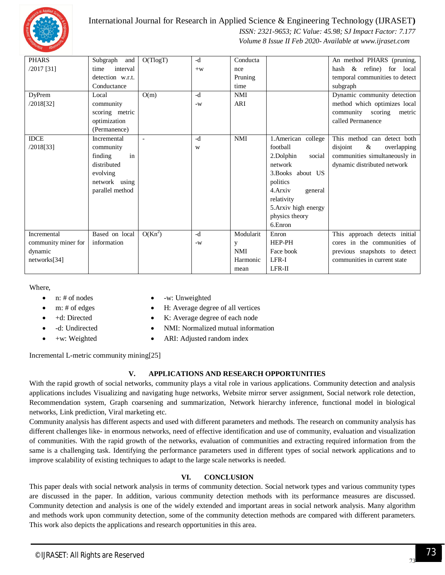

 *ISSN: 2321-9653; IC Value: 45.98; SJ Impact Factor: 7.177 Volume 8 Issue II Feb 2020- Available at www.ijraset.com*

| <b>PHARS</b>        | Subgraph and     | O(TlogT)  | $-d$ | Conducta   |                      | An method PHARS (pruning,       |
|---------------------|------------------|-----------|------|------------|----------------------|---------------------------------|
| $/2017$ [31]        | interval<br>time |           | $+w$ | nce        |                      | hash & refine) for local        |
|                     | detection w.r.t. |           |      | Pruning    |                      | temporal communities to detect  |
|                     | Conductance      |           |      | time       |                      | subgraph                        |
| <b>DyPrem</b>       | Local            | O(m)      | -d   | <b>NMI</b> |                      | Dynamic community detection     |
| /2018[32]           | community        |           | $-W$ | ARI        |                      | method which optimizes local    |
|                     | scoring metric   |           |      |            |                      | community scoring<br>metric     |
|                     | optimization     |           |      |            |                      | called Permanence               |
|                     | (Permanence)     |           |      |            |                      |                                 |
| <b>IDCE</b>         | Incremental      |           | $-d$ | <b>NMI</b> | 1.American college   | This method can detect both     |
| /2018[33]           | community        |           | W    |            | football             | disjoint<br>$\&$<br>overlapping |
|                     | in<br>finding    |           |      |            | 2.Dolphin<br>social  | communities simultaneously in   |
|                     | distributed      |           |      |            | network              | dynamic distributed network     |
|                     | evolving         |           |      |            | 3. Books about US    |                                 |
|                     | network using    |           |      |            | politics             |                                 |
|                     | parallel method  |           |      |            | 4. Arxiv<br>general  |                                 |
|                     |                  |           |      |            | relativity           |                                 |
|                     |                  |           |      |            | 5. Arxiv high energy |                                 |
|                     |                  |           |      |            | physics theory       |                                 |
|                     |                  |           |      |            | 6.Enron              |                                 |
| Incremental         | Based on local   | $O(Kn^2)$ | -d   | Modularit  | Enron                | This approach detects initial   |
| community miner for | information      |           | $-W$ | y          | HEP-PH               | cores in the communities of     |
| dynamic             |                  |           |      | <b>NMI</b> | Face book            | previous snapshots to detect    |
| networks[34]        |                  |           |      | Harmonic   | LFR-I                | communities in current state    |
|                     |                  |           |      | mean       | $LFR-II$             |                                 |

Where,

- 
- n: # of nodes -w: Unweighted
- m: # of edges <br>  $\bullet$  H: Average degree of all vertices
	- +d: Directed K: Average degree of each node
- -d: Undirected NMI: Normalized mutual information
- 
- +w: Weighted ARI: Adjusted random index

Incremental L-metric community mining[25]

## **V. APPLICATIONS AND RESEARCH OPPORTUNITIES**

With the rapid growth of social networks, community plays a vital role in various applications. Community detection and analysis applications includes Visualizing and navigating huge networks, Website mirror server assignment, Social network role detection, Recommendation system, Graph coarsening and summarization, Network hierarchy inference, functional model in biological networks, Link prediction, Viral marketing etc.

Community analysis has different aspects and used with different parameters and methods. The research on community analysis has different challenges like- in enormous networks, need of effective identification and use of community, evaluation and visualization of communities. With the rapid growth of the networks, evaluation of communities and extracting required information from the same is a challenging task. Identifying the performance parameters used in different types of social network applications and to improve scalability of existing techniques to adapt to the large scale networks is needed.

# **VI. CONCLUSION**

This paper deals with social network analysis in terms of community detection. Social network types and various community types are discussed in the paper. In addition, various community detection methods with its performance measures are discussed. Community detection and analysis is one of the widely extended and important areas in social network analysis. Many algorithm and methods work upon community detection, some of the community detection methods are compared with different parameters. This work also depicts the applications and research opportunities in this area.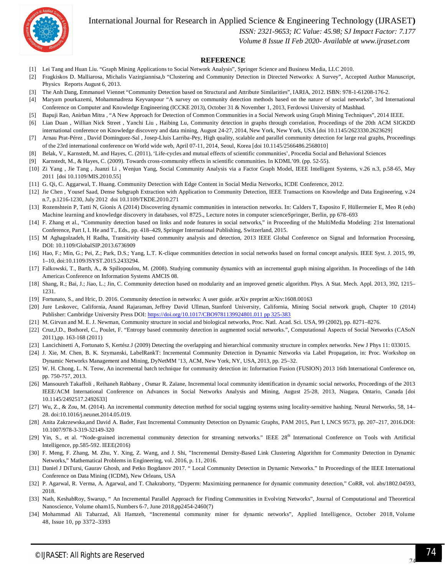

 *ISSN: 2321-9653; IC Value: 45.98; SJ Impact Factor: 7.177*

 *Volume 8 Issue II Feb 2020- Available at www.ijraset.com*

#### **REFERENCE**

- [1] Lei Tang and Huan Liu. "Graph Mining Applications to Social Network Analysis", Springer Science and Business Media, LLC 2010.
- [2] Fragkiskos D. Malliarosa, Michalis Vazirgiannisa,b "Clustering and Community Detection in Directed Networks: A Survey", Accepted Author Manuscript, Physics Reports August 6, 2013.
- [3] The Anh Dang, Emmanuel Viennet "Community Detection based on Structural and Attribute Similarities", IARIA, 2012. ISBN: 978-1-61208-176-2.
- [4] Maryam pourkazemi, Mohammadreza Keyvanpour "A survey on community detection methods based on the nature of social networks", 3rd International Conference on Computer and Knowledge Engineering (ICCKE 2013), October 31 & November 1, 2013, Ferdowsi University of Mashhad.
- [5] Bapuji Rao, Anirban Mitra , "A New Approach for Detection of Common Communities in a Social Network using Graph Mining Techniques", 2014 IEEE.
- [6] Lian Duan , Willian Nick Street , Yanchi Liu , Haibing Lu, Community detection in graphs through correlation, Proceedings of the 20th ACM SIGKDD international conference on Knowledge discovery and data mining, August 24-27, 2014, New York, New York, USA [doi 10.1145/2623330.2623629]
- [7] Arnau Prat-Pérez , David Dominguez-Sal , Josep-Lluis Larriba-Pey, High quality, scalable and parallel community detection for large real graphs, Proceedings of the 23rd international conference on World wide web, April 07-11, 2014, Seoul, Korea [doi 10.1145/2566486.2568010]
- [8] Belak, V., Karnstedt, M. and Hayes, C. (2011), 'Life-cycles and mutual effects of scientific communities', Procedia Social and Behavioral Sciences
- [9] Karnstedt, M., & Hayes, C. (2009). Towards cross-community effects in scientific communities. In KDML'09. (pp. 52-55).
- [10] Zi Yang , Jie Tang , Juanzi Li , Wenjun Yang, Social Community Analysis via a Factor Graph Model, IEEE Intelligent Systems, v.26 n.3, p.58-65, May 2011 [doi 10.1109/MIS.2010.55]
- [11] G. Qi, C. Aggarwal, T. Huang. Community Detection with Edge Content in Social Media Networks, ICDE Conference, 2012.
- [12] Jie Chen , Yousef Saad, Dense Subgraph Extraction with Application to Community Detection, IEEE Transactions on Knowledge and Data Engineering, v.24 n.7, p.1216-1230, July 2012 doi 10.1109/TKDE.2010.271
- [13] Rozenshtein P, Tatti N, Gionis A (2014) Discovering dynamic communities in interaction networks. In: Calders T, Esposito F, Hüllermeier E, Meo R (eds) Machine learning and knowledge discovery in databases, vol 8725., Lecture notes in computer scienceSpringer, Berlin, pp 678–693
- [14] F. Zhang et al., "Community detection based on links and node features in social networks," in Proceeding of the MultiMedia Modeling: 21st International Conference, Part I, I. He and T., Eds., pp. 418–429, Springer International Publishing, Switzerland, 2015.
- [15] M Aghagolzadeh, H Radha, Transitivity based community analysis and detection, 2013 IEEE Global Conference on Signal and Information Processing, DOI: 10.1109/GlobalSIP.2013.6736909
- [16] Hao, F.; Min, G.; Pei, Z.; Park, D.S.; Yang, L.T. K-clique communities detection in social networks based on formal concept analysis. IEEE Syst. J. 2015, 99, 1–10, doi:10.1109/JSYST.2015.2433294.
- [17] Falkowski, T., Barth, A., & Spiliopoulou, M. (2008). Studying community dynamics with an incremental graph mining algorithm. In Proceedings of the 14th Americas Conference on Information Systems AMCIS 08.
- [18] Shang, R.; Bai, J.; Jiao, L.; Jin, C. Community detection based on modularity and an improved genetic algorithm. Phys. A Stat. Mech. Appl. 2013, 392, 1215– 1231.
- [19] Fortunato, S., and Hric, D. 2016. Community detection in networks: A user guide. arXiv preprint arXiv:1608.00163
- [20] Jure Leskovec, California, Anand Rajaraman, Jeffrey David Ullman, Stanford University, California, Mining Social network graph, Chapter 10 (2014) Publisher: Cambridge University Press DOI: https://doi.org/10.1017/CBO9781139924801.011 pp 325-383
- [21] M. Girvan and M. E. J. Newman, Community structure in social and biological networks, Proc. Natl. Acad. Sci. USA, 99 (2002), pp. 8271–8276.
- [22] Cruz,J.D., Bothorel, C., Poulet, F. "Entropy based community detection in augmented social networks.", Computational Aspects of Social Networks (CASoN 2011),pp. 163-168 (2011)
- [23] Lancichinetti A, Fortunato S, Kertész J (2009) Detecting the overlapping and hierarchical community structure in complex networks. New J Phys 11: 033015.
- [24] J. Xie, M. Chen, B. K. Szymanski, LabelRankT: Incremental Community Detection in Dynamic Networks via Label Propagation, in: Proc. Workshop on Dynamic Networks Management and Mining, DyNetMM '13, ACM, New York, NY, USA, 2013, pp. 25–32.
- [25] W. H. Chong, L. N. Teow, An incremental batch technique for community detection in: Information Fusion (FUSION) 2013 16th International Conference on, pp. 750-757, 2013.
- [26] Mansoureh Takaffoli , Reihaneh Rabbany , Osmar R. Zaïane, Incremental local community identification in dynamic social networks, Proceedings of the 2013 IEEE/ACM International Conference on Advances in Social Networks Analysis and Mining, August 25-28, 2013, Niagara, Ontario, Canada [doi 10.1145/2492517.2492633]
- [27] Wu, Z., & Zou, M. (2014). An incremental community detection method for social tagging systems using locality-sensitive hashing. Neural Networks, 58, 14– 28. doi:10.1016/j.neunet.2014.05.019.
- [28] Anita Zakrzewska,and David A. Bader, Fast Incremental Community Detection on Dynamic Graphs, PAM 2015, Part I, LNCS 9573, pp. 207–217, 2016.DOI: 10.1007/978-3-319-32149-320
- [29] Yin, S., et al. "Node-grained incremental community detection for streaming networks." IEEE 28<sup>th</sup> International Conference on Tools with Artificial Intelligence, pp.585-592. IEEE(2016)
- [30] F. Meng, F. Zhang, M. Zhu, Y. Xing, Z. Wang, and J. Shi, "Incremental Density-Based Link Clustering Algorithm for Community Detection in Dynamic Networks," Mathematical Problems in Engineering, vol. 2016, p. 11, 2016.
- [31] Daniel J DiTursi, Gaurav Ghosh, and Petko Bogdanov 2017. " Local Community Detection in Dynamic Networks." In Proceedings of the IEEE International Conference on Data Mining (ICDM), New Orleans, USA
- [32] P. Agarwal, R. Verma, A. Agarwal, and T. Chakraborty, "Dyperm: Maximizing permanence for dynamic community detection," CoRR, vol. abs/1802.04593, 2018.
- [33] Nath, KeshabRoy, Swarup, " An Incremental Parallel Approach for Finding Communities in Evolving Networks", Journal of Computational and Theoretical Nanoscience, Volume oham15, Numbers 6-7, June 2018,pp2454-2460(7)
- [34] Mohammad Ali Tabarzad, Ali Hamzeh, "Incremental community miner for dynamic networks", Applied Intelligence, October 2018, Volume 48, Issue 10, pp 3372–3393